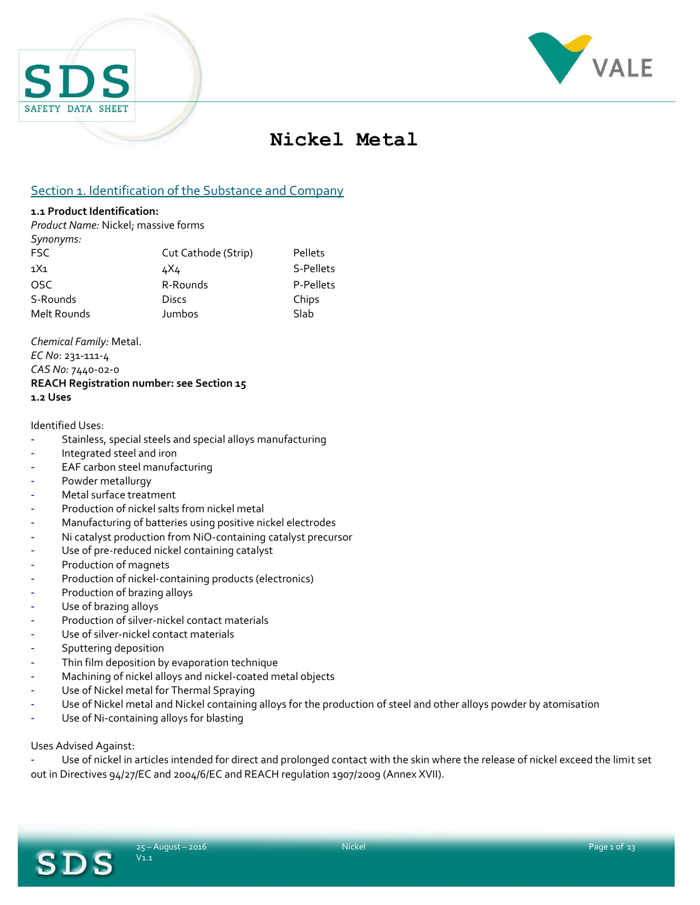



# **Nickel Metal**

# Section 1. Identification of the Substance and Company

#### **1.1 Product Identification:**

*Synonyms:*

*Product Name:* Nickel; massive forms

| sulvuyuus.      |                     |           |
|-----------------|---------------------|-----------|
| FSC             | Cut Cathode (Strip) | Pellets   |
| 1X <sub>1</sub> | 4X4                 | S-Pellets |
| OSC.            | R-Rounds            | P-Pellets |
| S-Rounds        | Discs               | Chips     |
| Melt Rounds     | Jumbos              | Slab      |
|                 |                     |           |

*Chemical Family:* Metal. *EC No*: 231-111-4 *CAS No:* 7440-02-0 **REACH Registration number: see Section 15 1.2 Uses**

#### Identified Uses:

- Stainless, special steels and special alloys manufacturing
- Integrated steel and iron
- EAF carbon steel manufacturing
- Powder metallurgy
- Metal surface treatment
- Production of nickel salts from nickel metal
- Manufacturing of batteries using positive nickel electrodes
- Ni catalyst production from NiO-containing catalyst precursor
- Use of pre-reduced nickel containing catalyst
- Production of magnets
- Production of nickel-containing products (electronics)
- Production of brazing alloys
- Use of brazing alloys
- Production of silver-nickel contact materials
- Use of silver-nickel contact materials
- Sputtering deposition
- Thin film deposition by evaporation technique
- Machining of nickel alloys and nickel-coated metal objects
- Use of Nickel metal for Thermal Spraying
- Use of Nickel metal and Nickel containing alloys for the production of steel and other alloys powder by atomisation
- Use of Ni-containing alloys for blasting

Uses Advised Against:

SDS

Use of nickel in articles intended for direct and prolonged contact with the skin where the release of nickel exceed the limit set out in Directives 94/27/EC and 2004/6/EC and REACH regulation 1907/2009 (Annex XVII).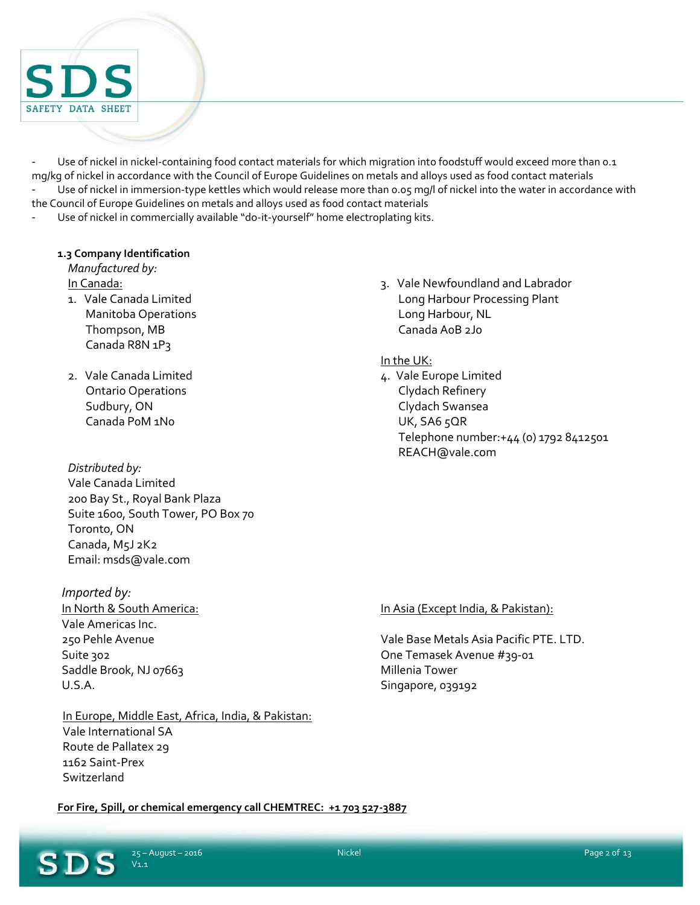

Use of nickel in nickel-containing food contact materials for which migration into foodstuff would exceed more than 0.1 mg/kg of nickel in accordance with the Council of Europe Guidelines on metals and alloys used as food contact materials Use of nickel in immersion-type kettles which would release more than 0.05 mg/l of nickel into the water in accordance with the Council of Europe Guidelines on metals and alloys used as food contact materials

Use of nickel in commercially available "do-it-yourself" home electroplating kits.

#### **1.3 Company Identification**

*Manufactured by:* In Canada:

- 1. Vale Canada Limited Manitoba Operations Thompson, MB Canada R8N 1P3
- 2. Vale Canada Limited Ontario Operations Sudbury, ON Canada P0M 1N0

### *Distributed by:*

Vale Canada Limited 200 Bay St., Royal Bank Plaza Suite 1600, South Tower, PO Box 70 Toronto, ON Canada, M5J 2K2 Email: msds@vale.com

*Imported by:* In North & South America: Vale Americas Inc. 250 Pehle Avenue Suite 302 Saddle Brook, NJ 07663 U.S.A.

### In Europe, Middle East, Africa, India, & Pakistan: Vale International SA Route de Pallatex 29 1162 Saint-Prex **Switzerland**

3. Vale Newfoundland and Labrador Long Harbour Processing Plant Long Harbour, NL Canada A0B 2J0

#### In the UK:

4. Vale Europe Limited Clydach Refinery Clydach Swansea UK, SA6 5QR Telephone number:+44 (0) 1792 8412501 REACH@vale.com

#### In Asia (Except India, & Pakistan):

Vale Base Metals Asia Pacific PTE. LTD. One Temasek Avenue #39-01 Millenia Tower Singapore, 039192

**For Fire, Spill, or chemical emergency call CHEMTREC: +1 703 527-3887**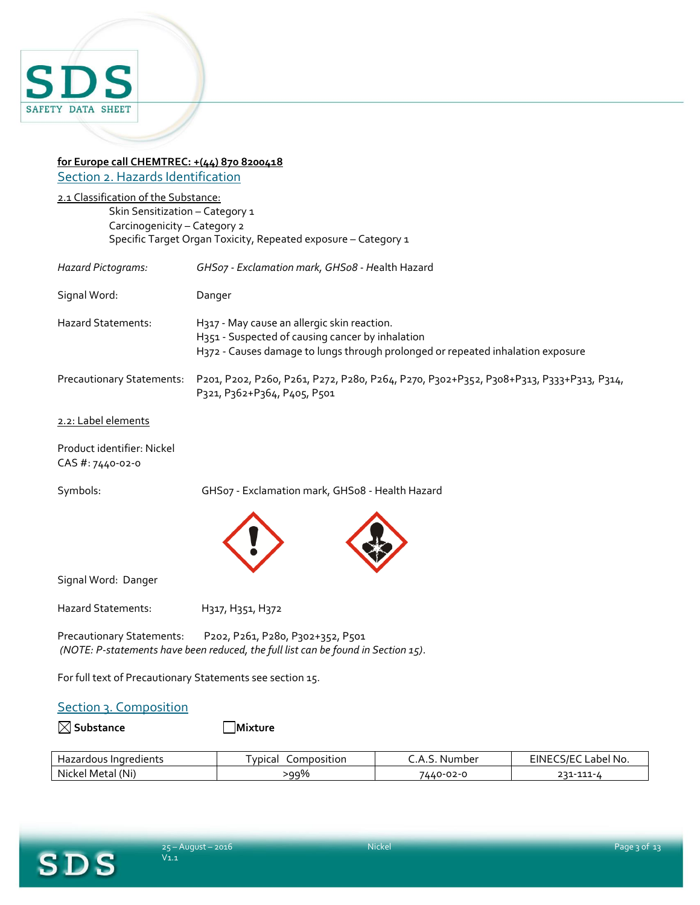

#### **for Europe call CHEMTREC: +(44) 870 8200418** Section 2. Hazards Identification

2.1 Classification of the Substance: Skin Sensitization – Category 1 Carcinogenicity – Category 2 Specific Target Organ Toxicity, Repeated exposure – Category 1

| <b>Hazard Pictograms:</b>        | GHSo7 - Exclamation mark, GHSo8 - Health Hazard                                                                                                                                    |
|----------------------------------|------------------------------------------------------------------------------------------------------------------------------------------------------------------------------------|
| Signal Word:                     | Danger                                                                                                                                                                             |
| <b>Hazard Statements:</b>        | H317 - May cause an allergic skin reaction.<br>H351 - Suspected of causing cancer by inhalation<br>H372 - Causes damage to lungs through prolonged or repeated inhalation exposure |
| <b>Precautionary Statements:</b> | P201, P202, P260, P261, P272, P280, P264, P270, P302+P352, P308+P313, P333+P313, P314,<br>P321, P362+P364, P405, P501                                                              |
| 2.2: Label elements              |                                                                                                                                                                                    |
|                                  |                                                                                                                                                                                    |

Product identifier: Nickel CAS #: 7440-02-0

Symbols: GHS07 - Exclamation mark, GHS08 - Health Hazard



Signal Word: Danger

Hazard Statements: H317, H351, H372

Precautionary Statements: P202, P261, P280, P302+352, P501 *(NOTE: P-statements have been reduced, the full list can be found in Section 15)*.

For full text of Precautionary Statements see section 15.

#### Section 3. Composition

**Substance Mixture**

| , Indredients<br>zardous<br>∃d∠         | <b>VDICAL</b><br>.omposition<br>-91 | Number<br>▵<br>.         | $CC$ IF $C$<br>-inl<br>abe.<br>'No. |
|-----------------------------------------|-------------------------------------|--------------------------|-------------------------------------|
| $2.5 + 1.5$<br>(Ni<br>Nickel<br>' Metaï | 99%<br>- -                          | 7440-0<br>$\sim$<br>ა2-ი | ,,,<br>111<br>---                   |

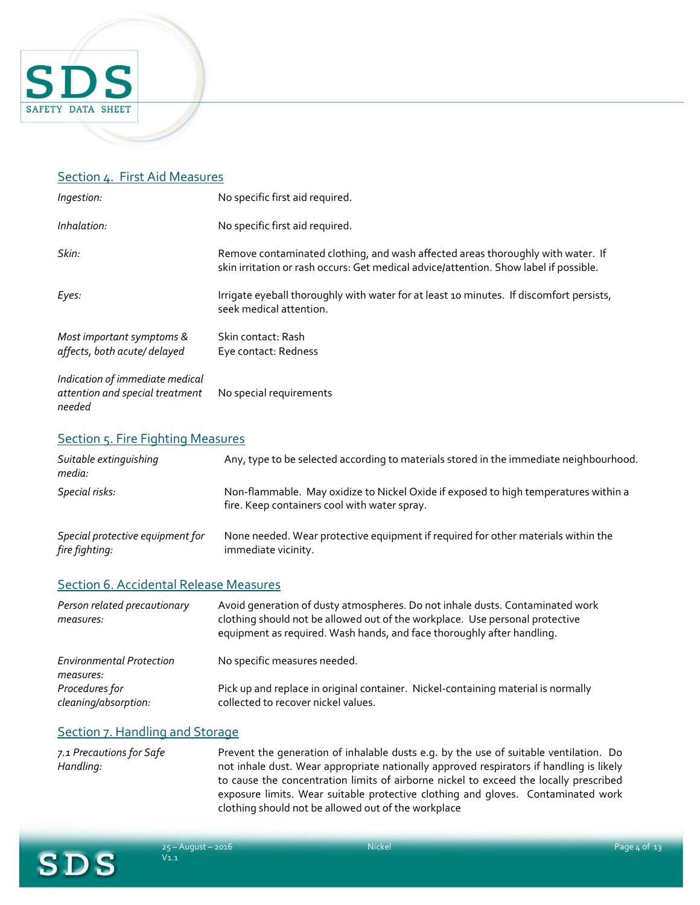

### Section 4. First Aid Measures

| Ingestion:                                                                   | No specific first aid required.                                                                                                                                          |
|------------------------------------------------------------------------------|--------------------------------------------------------------------------------------------------------------------------------------------------------------------------|
| Inhalation:                                                                  | No specific first aid required.                                                                                                                                          |
| Skin:                                                                        | Remove contaminated clothing, and wash affected areas thoroughly with water. If<br>skin irritation or rash occurs: Get medical advice/attention. Show label if possible. |
| Eyes:                                                                        | Irrigate eyeball thoroughly with water for at least 10 minutes. If discomfort persists,<br>seek medical attention.                                                       |
| Most important symptoms &<br>affects, both acute/delayed                     | Skin contact: Rash<br>Eye contact: Redness                                                                                                                               |
| Indication of immediate medical<br>attention and special treatment<br>needed | No special requirements                                                                                                                                                  |

#### Section 5. Fire Fighting Measures

| Suitable extinguishing<br>media:                   | Any, type to be selected according to materials stored in the immediate neighbourhood.                                              |
|----------------------------------------------------|-------------------------------------------------------------------------------------------------------------------------------------|
| Special risks:                                     | Non-flammable. May oxidize to Nickel Oxide if exposed to high temperatures within a<br>fire. Keep containers cool with water spray. |
| Special protective equipment for<br>fire fighting: | None needed. Wear protective equipment if required for other materials within the<br>immediate vicinity.                            |
| <b>Section 6. Accidental Release Measures</b>      |                                                                                                                                     |
| Person related precautionary                       | Avoid generation of dusty atmospheres. Do not inhale dusts. Contaminated work                                                       |

| measures:                                    | clothing should not be allowed out of the workplace. Use personal protective<br>equipment as required. Wash hands, and face thoroughly after handling. |
|----------------------------------------------|--------------------------------------------------------------------------------------------------------------------------------------------------------|
| <b>Environmental Protection</b><br>measures: | No specific measures needed.                                                                                                                           |
| Procedures for<br>cleaning/absorption:       | Pick up and replace in original container. Nickel-containing material is normally<br>collected to recover nickel values.                               |

### Section 7. Handling and Storage

*7.1 Precautions for Safe Handling:* Prevent the generation of inhalable dusts e.g. by the use of suitable ventilation. Do not inhale dust. Wear appropriate nationally approved respirators if handling is likely to cause the concentration limits of airborne nickel to exceed the locally prescribed exposure limits. Wear suitable protective clothing and gloves. Contaminated work clothing should not be allowed out of the workplace

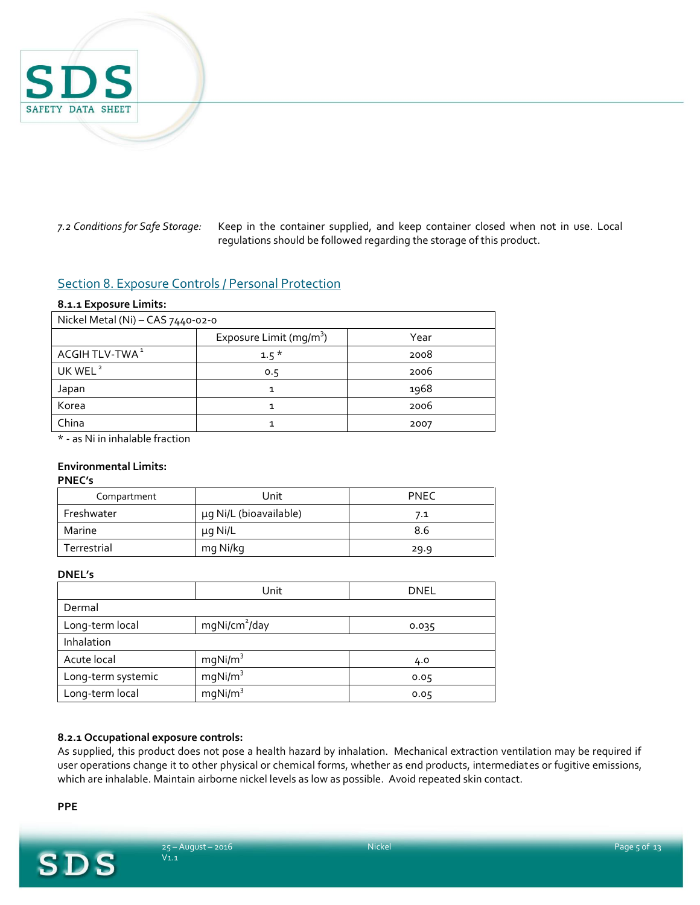

*7.2 Conditions for Safe Storage:* Keep in the container supplied, and keep container closed when not in use. Local regulations should be followed regarding the storage of this product.

### Section 8. Exposure Controls / Personal Protection

#### **8.1.1 Exposure Limits:**

| Nickel Metal (Ni) - CAS 7440-02-0 |                                     |      |
|-----------------------------------|-------------------------------------|------|
|                                   | Exposure Limit (mg/m <sup>3</sup> ) | Year |
| ACGIH TLV-TWA <sup>1</sup>        | $1.5*$                              | 2008 |
| UK WEL <sup>2</sup>               | 0.5                                 | 2006 |
| Japan                             | 1                                   | 1968 |
| Korea                             |                                     | 2006 |
| China                             |                                     | 2007 |
| .                                 |                                     |      |

\* - as Ni in inhalable fraction

#### **Environmental Limits:**

#### **PNEC's**

| Compartment | Unit                   | <b>PNEC</b> |
|-------------|------------------------|-------------|
| Freshwater  | µg Ni/L (bioavailable) | 7.1         |
| Marine      | μg Ni/L                | 8.6         |
| Terrestrial | mg Ni/kg               | 29.9        |

#### **DNEL's**

|                    | Unit                      | <b>DNEL</b> |
|--------------------|---------------------------|-------------|
| Dermal             |                           |             |
| Long-term local    | mgNi/cm <sup>2</sup> /day | 0.035       |
| Inhalation         |                           |             |
| Acute local        | mqNi/m <sup>3</sup>       | 4.0         |
| Long-term systemic | mqNi/m <sup>3</sup>       | 0.05        |
| Long-term local    | mqNi/m <sup>3</sup>       | 0.05        |

#### **8.2.1 Occupational exposure controls:**

As supplied, this product does not pose a health hazard by inhalation. Mechanical extraction ventilation may be required if user operations change it to other physical or chemical forms, whether as end products, intermediates or fugitive emissions, which are inhalable. Maintain airborne nickel levels as low as possible. Avoid repeated skin contact.

**PPE**

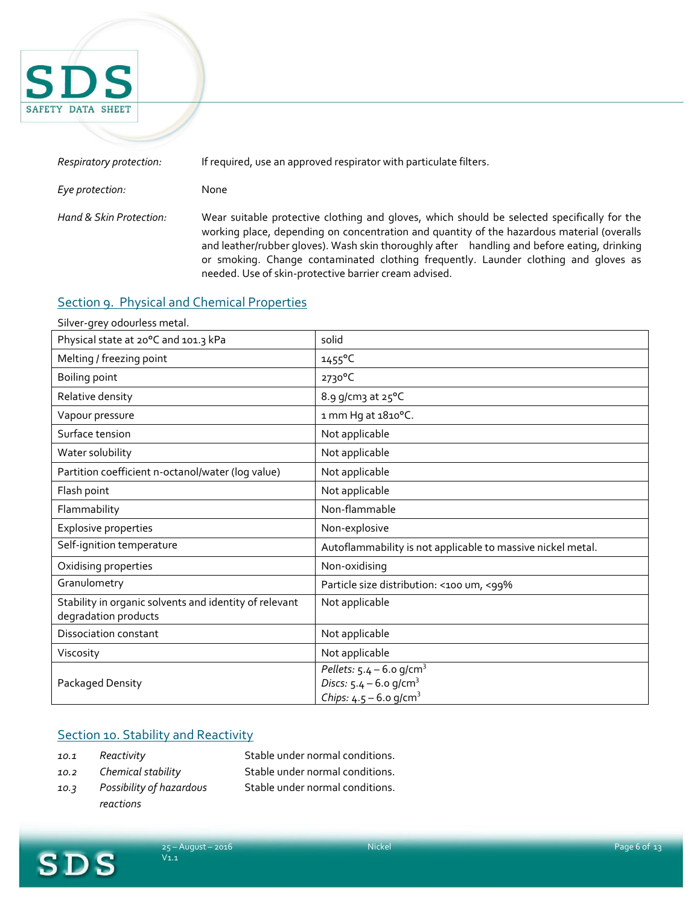

| Respiratory protection: | If required, use an approved respirator with particulate filters.                                                                                                                                                                                                                                                                                                                                                                        |
|-------------------------|------------------------------------------------------------------------------------------------------------------------------------------------------------------------------------------------------------------------------------------------------------------------------------------------------------------------------------------------------------------------------------------------------------------------------------------|
| Eye protection:         | None                                                                                                                                                                                                                                                                                                                                                                                                                                     |
| Hand & Skin Protection: | Wear suitable protective clothing and gloves, which should be selected specifically for the<br>working place, depending on concentration and quantity of the hazardous material (overalls<br>and leather/rubber gloves). Wash skin thoroughly after handling and before eating, drinking<br>or smoking. Change contaminated clothing frequently. Launder clothing and gloves as<br>needed. Use of skin-protective barrier cream advised. |

# Section 9. Physical and Chemical Properties

| Silver-grey odourless metal.                                                   |                                                                                                                        |
|--------------------------------------------------------------------------------|------------------------------------------------------------------------------------------------------------------------|
| Physical state at 20°C and 101.3 kPa                                           | solid                                                                                                                  |
| Melting / freezing point                                                       | $1455^{\circ}$ C                                                                                                       |
| Boiling point                                                                  | 2730°C                                                                                                                 |
| Relative density                                                               | 8.9 g/cm3 at 25°C                                                                                                      |
| Vapour pressure                                                                | 1 mm Hg at 1810°C.                                                                                                     |
| Surface tension                                                                | Not applicable                                                                                                         |
| Water solubility                                                               | Not applicable                                                                                                         |
| Partition coefficient n-octanol/water (log value)                              | Not applicable                                                                                                         |
| Flash point                                                                    | Not applicable                                                                                                         |
| Flammability                                                                   | Non-flammable                                                                                                          |
| <b>Explosive properties</b>                                                    | Non-explosive                                                                                                          |
| Self-ignition temperature                                                      | Autoflammability is not applicable to massive nickel metal.                                                            |
| Oxidising properties                                                           | Non-oxidising                                                                                                          |
| Granulometry                                                                   | Particle size distribution: <100 um, <99%                                                                              |
| Stability in organic solvents and identity of relevant<br>degradation products | Not applicable                                                                                                         |
| <b>Dissociation constant</b>                                                   | Not applicable                                                                                                         |
| Viscosity                                                                      | Not applicable                                                                                                         |
| Packaged Density                                                               | Pellets: $5.4 - 6.0$ g/cm <sup>3</sup><br>Discs: $5.4 - 6.0$ g/cm <sup>3</sup><br>Chips: $4.5 - 6.0$ g/cm <sup>3</sup> |

# Section 10. Stability and Reactivity

- 
- *10.1 Reactivity* Stable under normal conditions.
- *10.3 Possibility of hazardous reactions*
- *10.2 Chemical stability* Stable under normal conditions. Stable under normal conditions.
- **SDS**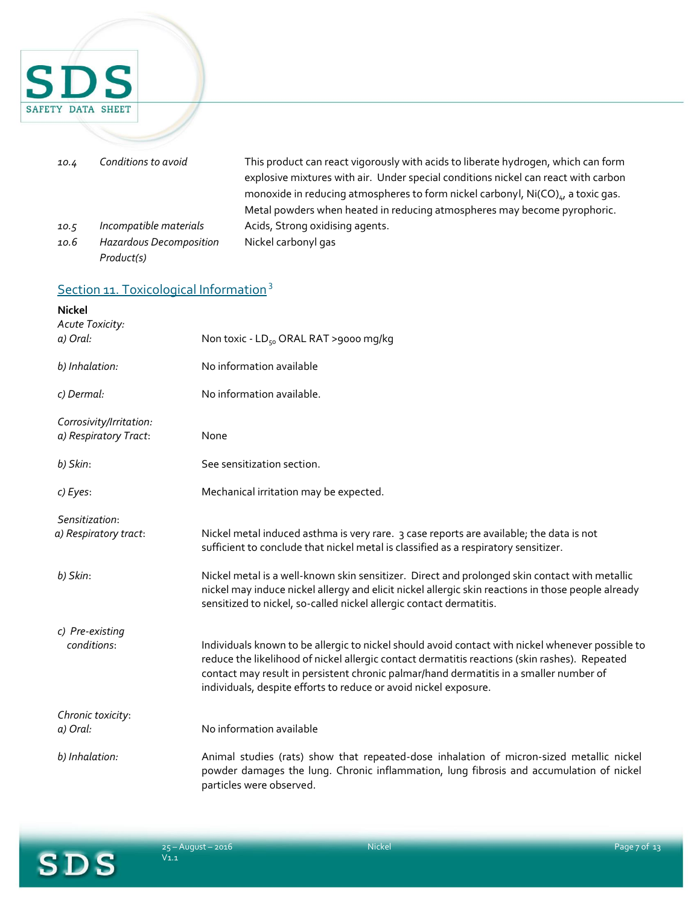

| 10.4 | Conditions to avoid     | This product can react vigorously with acids to liberate hydrogen, which can form<br>explosive mixtures with air. Under special conditions nickel can react with carbon |
|------|-------------------------|-------------------------------------------------------------------------------------------------------------------------------------------------------------------------|
|      |                         | monoxide in reducing atmospheres to form nickel carbonyl, Ni(CO),, a toxic gas.                                                                                         |
|      |                         | Metal powders when heated in reducing atmospheres may become pyrophoric.                                                                                                |
| 10.5 | Incompatible materials  | Acids, Strong oxidising agents.                                                                                                                                         |
| 10.6 | Hazardous Decomposition | Nickel carbonyl gas                                                                                                                                                     |
|      | Product(s)              |                                                                                                                                                                         |

# Section 11. Toxicological Information<sup>3</sup>

| <b>Nickel</b><br>Acute Toxicity:                 |                                                                                                                                                                                                                                                                                                                                                                 |
|--------------------------------------------------|-----------------------------------------------------------------------------------------------------------------------------------------------------------------------------------------------------------------------------------------------------------------------------------------------------------------------------------------------------------------|
| a) Oral:                                         | Non toxic - LD <sub>50</sub> ORAL RAT >9000 mg/kg                                                                                                                                                                                                                                                                                                               |
| b) Inhalation:                                   | No information available                                                                                                                                                                                                                                                                                                                                        |
| c) Dermal:                                       | No information available.                                                                                                                                                                                                                                                                                                                                       |
| Corrosivity/Irritation:<br>a) Respiratory Tract: | None                                                                                                                                                                                                                                                                                                                                                            |
| b) Skin:                                         | See sensitization section.                                                                                                                                                                                                                                                                                                                                      |
| c) Eyes:                                         | Mechanical irritation may be expected.                                                                                                                                                                                                                                                                                                                          |
| Sensitization:                                   |                                                                                                                                                                                                                                                                                                                                                                 |
| a) Respiratory tract:                            | Nickel metal induced asthma is very rare. 3 case reports are available; the data is not<br>sufficient to conclude that nickel metal is classified as a respiratory sensitizer.                                                                                                                                                                                  |
| b) Skin:                                         | Nickel metal is a well-known skin sensitizer. Direct and prolonged skin contact with metallic<br>nickel may induce nickel allergy and elicit nickel allergic skin reactions in those people already<br>sensitized to nickel, so-called nickel allergic contact dermatitis.                                                                                      |
| c) Pre-existing                                  |                                                                                                                                                                                                                                                                                                                                                                 |
| conditions:                                      | Individuals known to be allergic to nickel should avoid contact with nickel whenever possible to<br>reduce the likelihood of nickel allergic contact dermatitis reactions (skin rashes). Repeated<br>contact may result in persistent chronic palmar/hand dermatitis in a smaller number of<br>individuals, despite efforts to reduce or avoid nickel exposure. |
| Chronic toxicity:                                |                                                                                                                                                                                                                                                                                                                                                                 |
| a) Oral:                                         | No information available                                                                                                                                                                                                                                                                                                                                        |
| b) Inhalation:                                   | Animal studies (rats) show that repeated-dose inhalation of micron-sized metallic nickel<br>powder damages the lung. Chronic inflammation, lung fibrosis and accumulation of nickel<br>particles were observed.                                                                                                                                                 |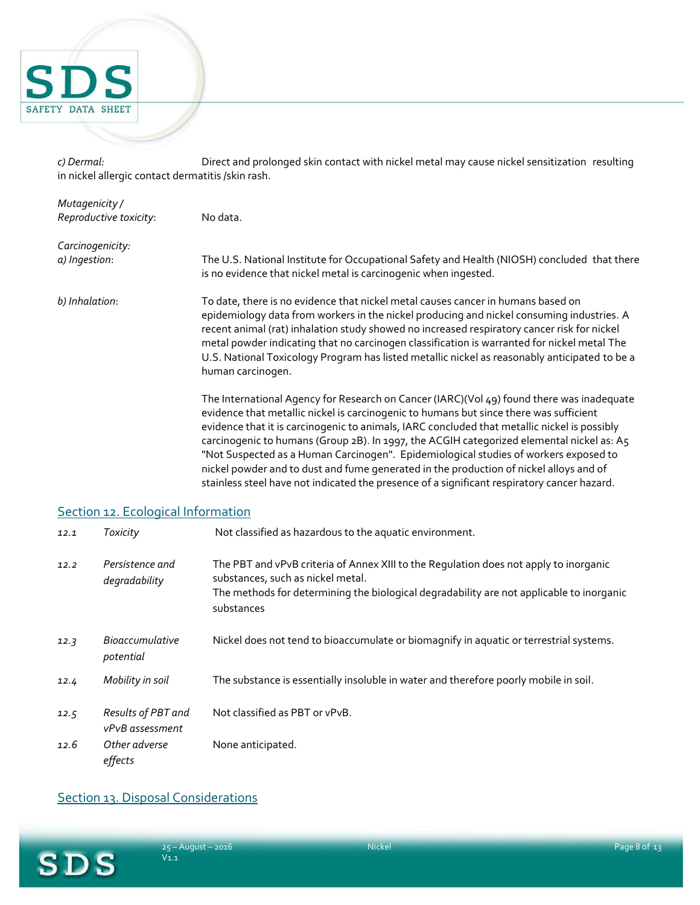

*c) Dermal:* Direct and prolonged skin contact with nickel metal may cause nickel sensitization resulting in nickel allergic contact dermatitis /skin rash.

| Mutagenicity /         |                                                                                                                                                                                                                                                                                                                                                                                                                                                                                                                                                                    |
|------------------------|--------------------------------------------------------------------------------------------------------------------------------------------------------------------------------------------------------------------------------------------------------------------------------------------------------------------------------------------------------------------------------------------------------------------------------------------------------------------------------------------------------------------------------------------------------------------|
| Reproductive toxicity: | No data.                                                                                                                                                                                                                                                                                                                                                                                                                                                                                                                                                           |
| Carcinogenicity:       |                                                                                                                                                                                                                                                                                                                                                                                                                                                                                                                                                                    |
| a) Ingestion:          | The U.S. National Institute for Occupational Safety and Health (NIOSH) concluded that there<br>is no evidence that nickel metal is carcinogenic when ingested.                                                                                                                                                                                                                                                                                                                                                                                                     |
| b) Inhalation:         | To date, there is no evidence that nickel metal causes cancer in humans based on<br>epidemiology data from workers in the nickel producing and nickel consuming industries. A<br>recent animal (rat) inhalation study showed no increased respiratory cancer risk for nickel<br>metal powder indicating that no carcinogen classification is warranted for nickel metal The<br>U.S. National Toxicology Program has listed metallic nickel as reasonably anticipated to be a<br>human carcinogen.                                                                  |
|                        | The International Agency for Research on Cancer (IARC)(Vol 49) found there was inadequate<br>evidence that metallic nickel is carcinogenic to humans but since there was sufficient<br>evidence that it is carcinogenic to animals, IARC concluded that metallic nickel is possibly<br>carcinogenic to humans (Group 2B). In 1997, the ACGIH categorized elemental nickel as: A5<br>"Not Suspected as a Human Carcinogen". Epidemiological studies of workers exposed to<br>nickel powder and to dust and fume generated in the production of nickel alloys and of |

stainless steel have not indicated the presence of a significant respiratory cancer hazard.

# Section 12. Ecological Information

| 12.1 | <b>Toxicity</b>                       | Not classified as hazardous to the aquatic environment.                                                                                                                                                                              |
|------|---------------------------------------|--------------------------------------------------------------------------------------------------------------------------------------------------------------------------------------------------------------------------------------|
| 12.2 | Persistence and<br>degradability      | The PBT and vPvB criteria of Annex XIII to the Regulation does not apply to inorganic<br>substances, such as nickel metal.<br>The methods for determining the biological degradability are not applicable to inorganic<br>substances |
| 12.3 | <i>Bioaccumulative</i><br>potential   | Nickel does not tend to bioaccumulate or biomagnify in aquatic or terrestrial systems.                                                                                                                                               |
| 12.4 | Mobility in soil                      | The substance is essentially insoluble in water and therefore poorly mobile in soil.                                                                                                                                                 |
| 12.5 | Results of PBT and<br>vPvB assessment | Not classified as PBT or vPvB.                                                                                                                                                                                                       |
| 12.6 | Other adverse<br>effects              | None anticipated.                                                                                                                                                                                                                    |

# Section 13. Disposal Considerations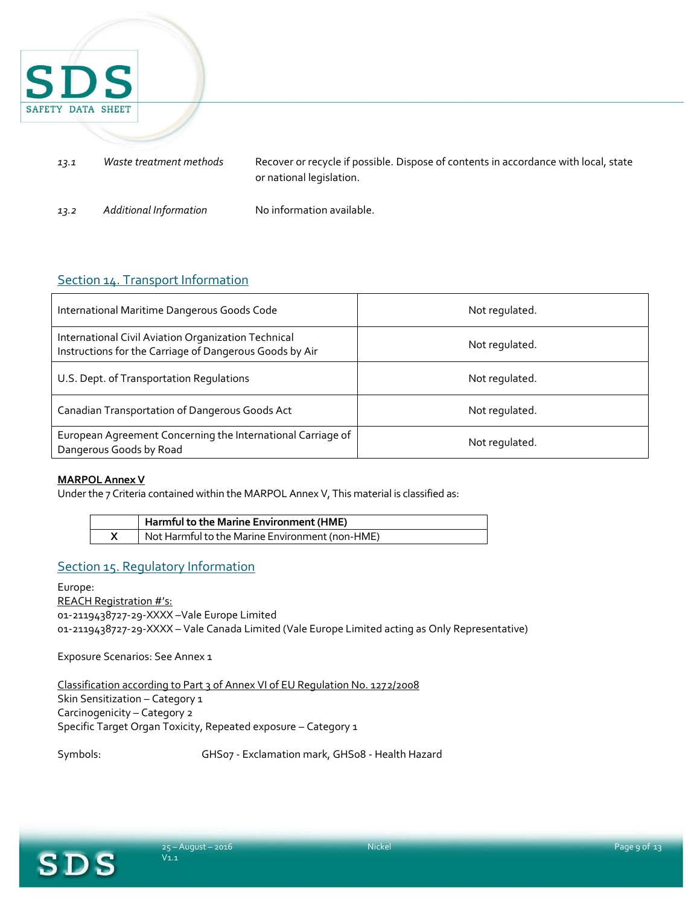

# Section 14. Transport Information

| International Maritime Dangerous Goods Code                                                                    | Not regulated. |
|----------------------------------------------------------------------------------------------------------------|----------------|
| International Civil Aviation Organization Technical<br>Instructions for the Carriage of Dangerous Goods by Air | Not regulated. |
| U.S. Dept. of Transportation Regulations                                                                       | Not regulated. |
| Canadian Transportation of Dangerous Goods Act                                                                 | Not regulated. |
| European Agreement Concerning the International Carriage of<br>Dangerous Goods by Road                         | Not regulated. |

#### **MARPOL Annex V**

Under the 7 Criteria contained within the MARPOL Annex V, This material is classified as:

| Harmful to the Marine Environment (HME)         |
|-------------------------------------------------|
| Not Harmful to the Marine Environment (non-HME) |

### Section 15. Regulatory Information

Europe: REACH Registration #'s: 01-2119438727-29-XXXX –Vale Europe Limited 01-2119438727-29-XXXX – Vale Canada Limited (Vale Europe Limited acting as Only Representative)

Exposure Scenarios: See Annex 1

Classification according to Part 3 of Annex VI of EU Regulation No. 1272/2008 Skin Sensitization - Category 1 Carcinogenicity – Category 2 Specific Target Organ Toxicity, Repeated exposure – Category 1

Symbols: GHS07 - Exclamation mark, GHS08 - Health Hazard

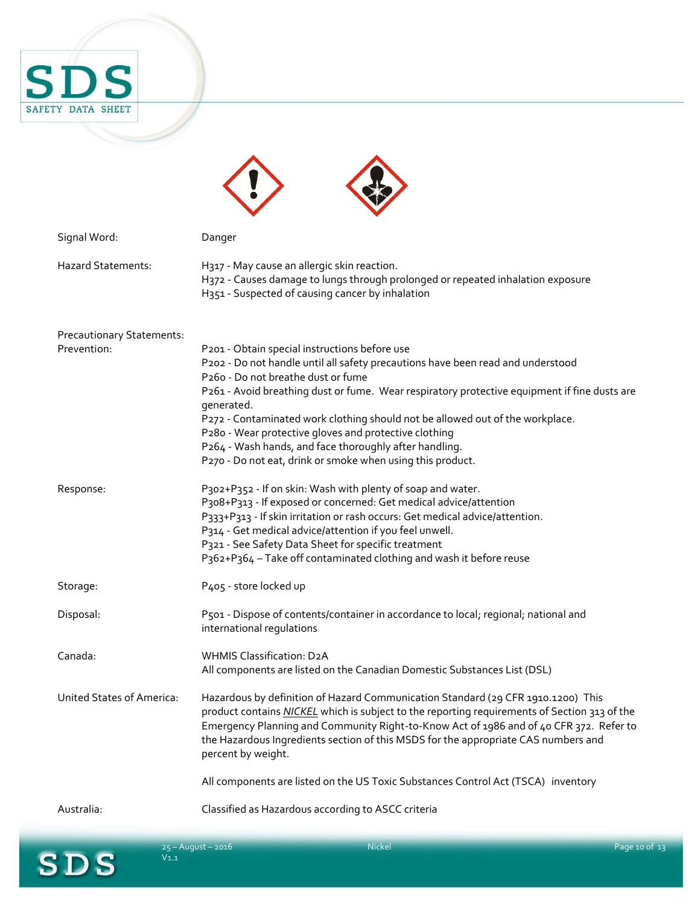

| Signal Word:                     | Danger                                                                                                                                                                                                                                                                                                                                                                                                                                                                                                                                                 |
|----------------------------------|--------------------------------------------------------------------------------------------------------------------------------------------------------------------------------------------------------------------------------------------------------------------------------------------------------------------------------------------------------------------------------------------------------------------------------------------------------------------------------------------------------------------------------------------------------|
| <b>Hazard Statements:</b>        | H317 - May cause an allergic skin reaction.<br>H372 - Causes damage to lungs through prolonged or repeated inhalation exposure<br>H351 - Suspected of causing cancer by inhalation                                                                                                                                                                                                                                                                                                                                                                     |
| <b>Precautionary Statements:</b> |                                                                                                                                                                                                                                                                                                                                                                                                                                                                                                                                                        |
| Prevention:                      | P201 - Obtain special instructions before use<br>P202 - Do not handle until all safety precautions have been read and understood<br>P260 - Do not breathe dust or fume<br>P261 - Avoid breathing dust or fume. Wear respiratory protective equipment if fine dusts are<br>generated.<br>P272 - Contaminated work clothing should not be allowed out of the workplace.<br>P280 - Wear protective gloves and protective clothing<br>P264 - Wash hands, and face thoroughly after handling.<br>P270 - Do not eat, drink or smoke when using this product. |
| Response:                        | P302+P352 - If on skin: Wash with plenty of soap and water.<br>P308+P313 - If exposed or concerned: Get medical advice/attention<br>P333+P313 - If skin irritation or rash occurs: Get medical advice/attention.<br>P314 - Get medical advice/attention if you feel unwell.<br>P321 - See Safety Data Sheet for specific treatment<br>P362+P364 - Take off contaminated clothing and wash it before reuse                                                                                                                                              |
| Storage:                         | P405 - store locked up                                                                                                                                                                                                                                                                                                                                                                                                                                                                                                                                 |
| Disposal:                        | P501 - Dispose of contents/container in accordance to local; regional; national and<br>international regulations                                                                                                                                                                                                                                                                                                                                                                                                                                       |
| Canada:                          | <b>WHMIS Classification: D2A</b><br>All components are listed on the Canadian Domestic Substances List (DSL)                                                                                                                                                                                                                                                                                                                                                                                                                                           |
| United States of America:        | Hazardous by definition of Hazard Communication Standard (29 CFR 1910.1200) This<br>product contains NICKEL which is subject to the reporting requirements of Section 313 of the<br>Emergency Planning and Community Right-to-Know Act of 1986 and of 40 CFR 372. Refer to<br>the Hazardous Ingredients section of this MSDS for the appropriate CAS numbers and<br>percent by weight.                                                                                                                                                                 |
|                                  | All components are listed on the US Toxic Substances Control Act (TSCA) inventory                                                                                                                                                                                                                                                                                                                                                                                                                                                                      |
| Australia:                       | Classified as Hazardous according to ASCC criteria                                                                                                                                                                                                                                                                                                                                                                                                                                                                                                     |

 $\blacktriangle$ 

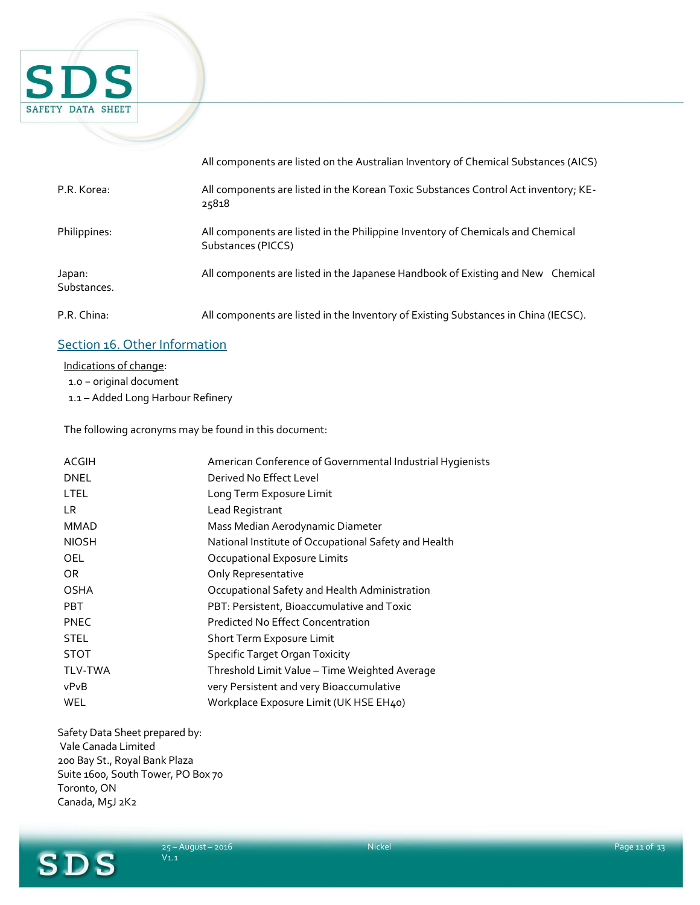

|                       | All components are listed on the Australian Inventory of Chemical Substances (AICS)                   |
|-----------------------|-------------------------------------------------------------------------------------------------------|
| P.R. Korea:           | All components are listed in the Korean Toxic Substances Control Act inventory; KE-<br>25818          |
| Philippines:          | All components are listed in the Philippine Inventory of Chemicals and Chemical<br>Substances (PICCS) |
| Japan:<br>Substances. | All components are listed in the Japanese Handbook of Existing and New Chemical                       |
| P.R. China:           | All components are listed in the Inventory of Existing Substances in China (IECSC).                   |

# Section 16. Other Information

Indications of change:

1.0 − original document

1.1 – Added Long Harbour Refinery

The following acronyms may be found in this document:

| ACGIH          | American Conference of Governmental Industrial Hygienists |
|----------------|-----------------------------------------------------------|
| <b>DNEL</b>    | Derived No Effect Level                                   |
| <b>LTEL</b>    | Long Term Exposure Limit                                  |
| LR.            | Lead Registrant                                           |
| <b>MMAD</b>    | Mass Median Aerodynamic Diameter                          |
| <b>NIOSH</b>   | National Institute of Occupational Safety and Health      |
| OEL            | Occupational Exposure Limits                              |
| OR.            | Only Representative                                       |
| <b>OSHA</b>    | Occupational Safety and Health Administration             |
| <b>PBT</b>     | PBT: Persistent, Bioaccumulative and Toxic                |
| <b>PNEC</b>    | <b>Predicted No Effect Concentration</b>                  |
| <b>STEL</b>    | Short Term Exposure Limit                                 |
| <b>STOT</b>    | <b>Specific Target Organ Toxicity</b>                     |
| <b>TLV-TWA</b> | Threshold Limit Value - Time Weighted Average             |
| vPvB           | very Persistent and very Bioaccumulative                  |
| WEL            | Workplace Exposure Limit (UK HSE EH40)                    |
|                |                                                           |

Safety Data Sheet prepared by: Vale Canada Limited 200 Bay St., Royal Bank Plaza Suite 1600, South Tower, PO Box 70 Toronto, ON Canada, M5J 2K2

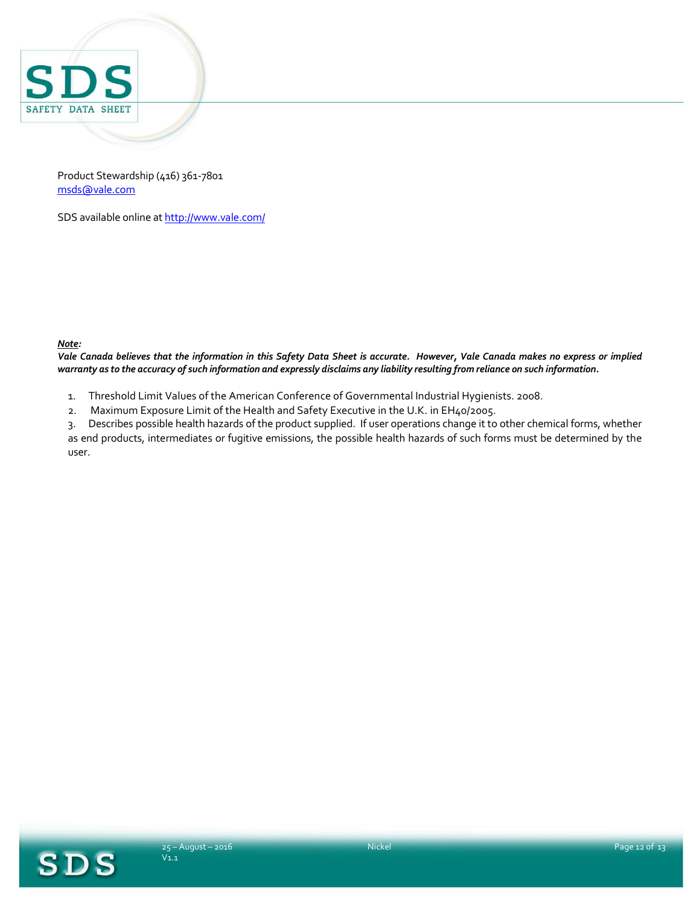

Product Stewardship (416) 361-7801 [msds@vale.com](mailto:msds@vale.com)

SDS available online a[t http://www.vale.com/](http://www.vale.com/)

#### *Note:*

*Vale Canada believes that the information in this Safety Data Sheet is accurate. However, Vale Canada makes no express or implied warranty as to the accuracy of such information and expressly disclaims any liability resulting from reliance on such information.*

- 1. Threshold Limit Values of the American Conference of Governmental Industrial Hygienists. 2008.
- 2. Maximum Exposure Limit of the Health and Safety Executive in the U.K. in EH40/2005.

3. Describes possible health hazards of the product supplied. If user operations change it to other chemical forms, whether as end products, intermediates or fugitive emissions, the possible health hazards of such forms must be determined by the user.